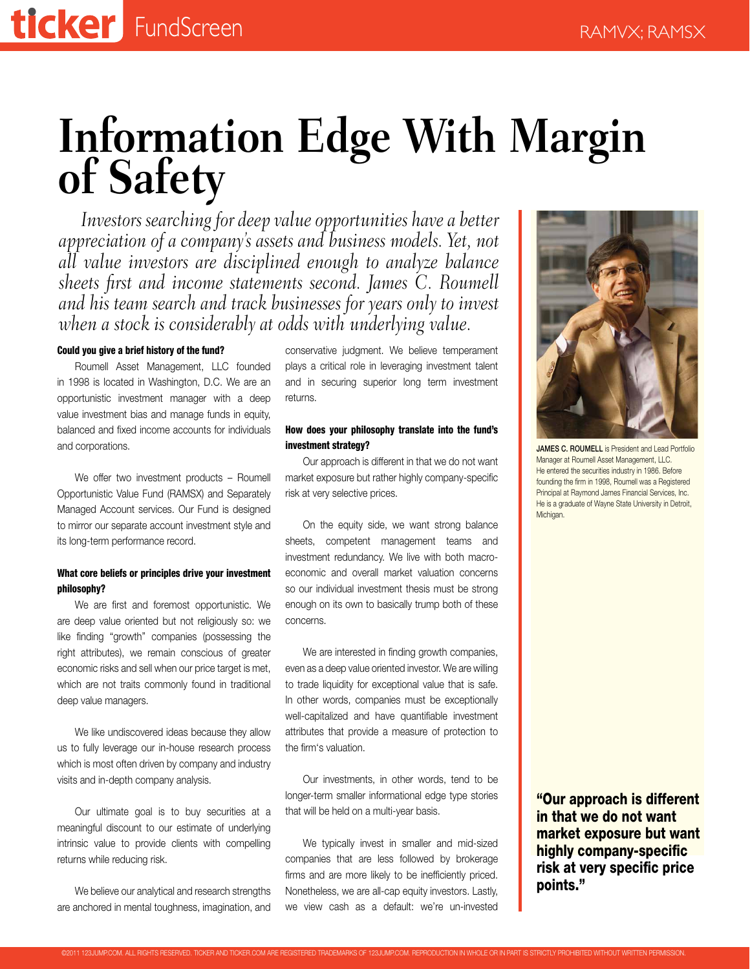# **Information Edge With Margin of Safety**

*Investors searching for deep value opportunities have a better appreciation of a company's assets and business models. Yet, not all value investors are disciplined enough to analyze balance sheets first and income statements second. James C. Roumell and his team search and track businesses for years only to invest when a stock is considerably at odds with underlying value.*

#### Could you give a brief history of the fund?

Roumell Asset Management, LLC founded in 1998 is located in Washington, D.C. We are an opportunistic investment manager with a deep value investment bias and manage funds in equity, balanced and fixed income accounts for individuals and corporations.

We offer two investment products – Roumell Opportunistic Value Fund (RAMSX) and Separately Managed Account services. Our Fund is designed to mirror our separate account investment style and its long-term performance record.

## What core beliefs or principles drive your investment philosophy?

We are first and foremost opportunistic. We are deep value oriented but not religiously so: we like finding "growth" companies (possessing the right attributes), we remain conscious of greater economic risks and sell when our price target is met, which are not traits commonly found in traditional deep value managers.

We like undiscovered ideas because they allow us to fully leverage our in-house research process which is most often driven by company and industry visits and in-depth company analysis.

Our ultimate goal is to buy securities at a meaningful discount to our estimate of underlying intrinsic value to provide clients with compelling returns while reducing risk.

We believe our analytical and research strengths are anchored in mental toughness, imagination, and conservative judgment. We believe temperament plays a critical role in leveraging investment talent and in securing superior long term investment returns.

## How does your philosophy translate into the fund's investment strategy?

Our approach is different in that we do not want market exposure but rather highly company-specific risk at very selective prices.

On the equity side, we want strong balance sheets, competent management teams and investment redundancy. We live with both macroeconomic and overall market valuation concerns so our individual investment thesis must be strong enough on its own to basically trump both of these concerns.

We are interested in finding growth companies, even as a deep value oriented investor. We are willing to trade liquidity for exceptional value that is safe. In other words, companies must be exceptionally well-capitalized and have quantifiable investment attributes that provide a measure of protection to the firm's valuation.

Our investments, in other words, tend to be longer-term smaller informational edge type stories that will be held on a multi-year basis.

We typically invest in smaller and mid-sized companies that are less followed by brokerage firms and are more likely to be inefficiently priced. Nonetheless, we are all-cap equity investors. Lastly, we view cash as a default: we're un-invested



JAMES C. ROUMELL is President and Lead Portfolio Manager at Roumell Asset Management, LLC. He entered the securities industry in 1986. Before founding the firm in 1998, Roumell was a Registered Principal at Raymond James Financial Services, Inc. He is a graduate of Wayne State University in Detroit, Michigan.

"Our approach is different in that we do not want market exposure but want highly company-specific risk at very specific price points."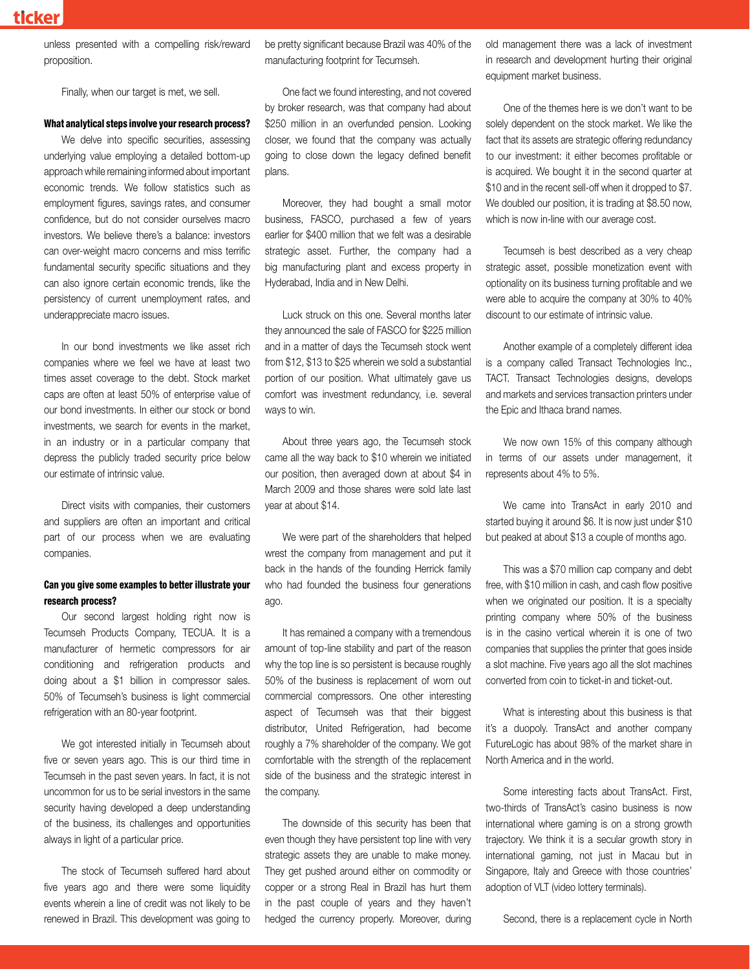unless presented with a compelling risk/reward proposition.

Finally, when our target is met, we sell.

#### What analytical steps involve your research process?

We delve into specific securities, assessing underlying value employing a detailed bottom-up approach while remaining informed about important economic trends. We follow statistics such as employment figures, savings rates, and consumer confidence, but do not consider ourselves macro investors. We believe there's a balance: investors can over-weight macro concerns and miss terrific fundamental security specific situations and they can also ignore certain economic trends, like the persistency of current unemployment rates, and underappreciate macro issues.

In our bond investments we like asset rich companies where we feel we have at least two times asset coverage to the debt. Stock market caps are often at least 50% of enterprise value of our bond investments. In either our stock or bond investments, we search for events in the market, in an industry or in a particular company that depress the publicly traded security price below our estimate of intrinsic value.

Direct visits with companies, their customers and suppliers are often an important and critical part of our process when we are evaluating companies.

#### Can you give some examples to better illustrate your research process?

Our second largest holding right now is Tecumseh Products Company, TECUA. It is a manufacturer of hermetic compressors for air conditioning and refrigeration products and doing about a \$1 billion in compressor sales. 50% of Tecumseh's business is light commercial refrigeration with an 80-year footprint.

We got interested initially in Tecumseh about five or seven years ago. This is our third time in Tecumseh in the past seven years. In fact, it is not uncommon for us to be serial investors in the same security having developed a deep understanding of the business, its challenges and opportunities always in light of a particular price.

The stock of Tecumseh suffered hard about five years ago and there were some liquidity events wherein a line of credit was not likely to be renewed in Brazil. This development was going to be pretty significant because Brazil was 40% of the manufacturing footprint for Tecumseh.

One fact we found interesting, and not covered by broker research, was that company had about \$250 million in an overfunded pension. Looking closer, we found that the company was actually going to close down the legacy defined benefit plans.

Moreover, they had bought a small motor business, FASCO, purchased a few of years earlier for \$400 million that we felt was a desirable strategic asset. Further, the company had a big manufacturing plant and excess property in Hyderabad, India and in New Delhi.

Luck struck on this one. Several months later they announced the sale of FASCO for \$225 million and in a matter of days the Tecumseh stock went from \$12, \$13 to \$25 wherein we sold a substantial portion of our position. What ultimately gave us comfort was investment redundancy, i.e. several ways to win.

About three years ago, the Tecumseh stock came all the way back to \$10 wherein we initiated our position, then averaged down at about \$4 in March 2009 and those shares were sold late last year at about \$14.

We were part of the shareholders that helped wrest the company from management and put it back in the hands of the founding Herrick family who had founded the business four generations ago.

It has remained a company with a tremendous amount of top-line stability and part of the reason why the top line is so persistent is because roughly 50% of the business is replacement of worn out commercial compressors. One other interesting aspect of Tecumseh was that their biggest distributor, United Refrigeration, had become roughly a 7% shareholder of the company. We got comfortable with the strength of the replacement side of the business and the strategic interest in the company.

The downside of this security has been that even though they have persistent top line with very strategic assets they are unable to make money. They get pushed around either on commodity or copper or a strong Real in Brazil has hurt them in the past couple of years and they haven't hedged the currency properly. Moreover, during old management there was a lack of investment in research and development hurting their original equipment market business.

One of the themes here is we don't want to be solely dependent on the stock market. We like the fact that its assets are strategic offering redundancy to our investment: it either becomes profitable or is acquired. We bought it in the second quarter at \$10 and in the recent sell-off when it dropped to \$7. We doubled our position, it is trading at \$8.50 now, which is now in-line with our average cost.

Tecumseh is best described as a very cheap strategic asset, possible monetization event with optionality on its business turning profitable and we were able to acquire the company at 30% to 40% discount to our estimate of intrinsic value.

Another example of a completely different idea is a company called Transact Technologies Inc., TACT. Transact Technologies designs, develops and markets and services transaction printers under the Epic and Ithaca brand names.

We now own 15% of this company although in terms of our assets under management, it represents about 4% to 5%.

We came into TransAct in early 2010 and started buying it around \$6. It is now just under \$10 but peaked at about \$13 a couple of months ago.

This was a \$70 million cap company and debt free, with \$10 million in cash, and cash flow positive when we originated our position. It is a specialty printing company where 50% of the business is in the casino vertical wherein it is one of two companies that supplies the printer that goes inside a slot machine. Five years ago all the slot machines converted from coin to ticket-in and ticket-out.

What is interesting about this business is that it's a duopoly. TransAct and another company FutureLogic has about 98% of the market share in North America and in the world.

Some interesting facts about TransAct. First, two-thirds of TransAct's casino business is now international where gaming is on a strong growth trajectory. We think it is a secular growth story in international gaming, not just in Macau but in Singapore, Italy and Greece with those countries' adoption of VLT (video lottery terminals).

Second, there is a replacement cycle in North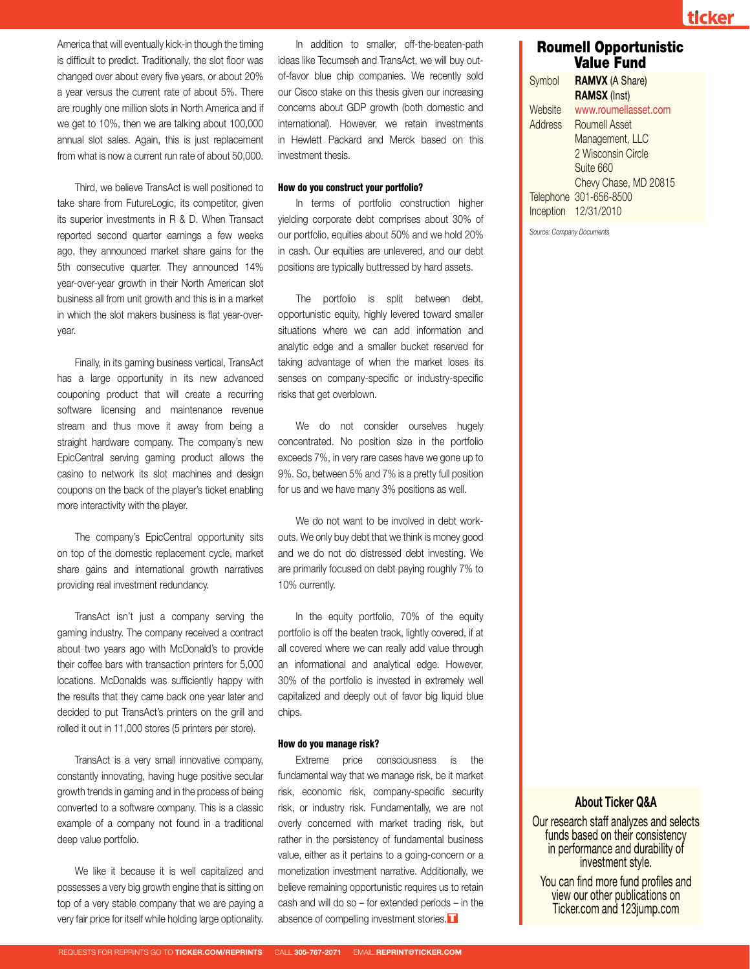ticker

America that will eventually kick-in though the timing is difficult to predict. Traditionally, the slot floor was changed over about every five years, or about 20% a year versus the current rate of about 5%. There are roughly one million slots in North America and if we get to 10%, then we are talking about 100,000 annual slot sales. Again, this is just replacement from what is now a current run rate of about 50,000.

Third, we believe TransAct is well positioned to take share from FutureLogic, its competitor, given its superior investments in R & D. When Transact reported second quarter earnings a few weeks ago, they announced market share gains for the 5th consecutive quarter. They announced 14% year-over-year growth in their North American slot business all from unit growth and this is in a market in which the slot makers business is flat year-overyear.

Finally, in its gaming business vertical, TransAct has a large opportunity in its new advanced couponing product that will create a recurring software licensing and maintenance revenue stream and thus move it away from being a straight hardware company. The company's new EpicCentral serving gaming product allows the casino to network its slot machines and design coupons on the back of the player's ticket enabling more interactivity with the player.

The company's EpicCentral opportunity sits on top of the domestic replacement cycle, market share gains and international growth narratives providing real investment redundancy.

TransAct isn't just a company serving the gaming industry. The company received a contract about two years ago with McDonald's to provide their coffee bars with transaction printers for 5,000 locations. McDonalds was sufficiently happy with the results that they came back one year later and decided to put TransAct's printers on the grill and rolled it out in 11,000 stores (5 printers per store).

TransAct is a very small innovative company, constantly innovating, having huge positive secular growth trends in gaming and in the process of being converted to a software company. This is a classic example of a company not found in a traditional deep value portfolio.

We like it because it is well capitalized and possesses a very big growth engine that is sitting on top of a very stable company that we are paying a very fair price for itself while holding large optionality.

In addition to smaller, off-the-beaten-path ideas like Tecumseh and TransAct, we will buy outof-favor blue chip companies. We recently sold our Cisco stake on this thesis given our increasing concerns about GDP growth (both domestic and international). However, we retain investments in Hewlett Packard and Merck based on this investment thesis.

#### How do you construct your portfolio?

In terms of portfolio construction higher yielding corporate debt comprises about 30% of our portfolio, equities about 50% and we hold 20% in cash. Our equities are unlevered, and our debt positions are typically buttressed by hard assets.

The portfolio is split between debt, opportunistic equity, highly levered toward smaller situations where we can add information and analytic edge and a smaller bucket reserved for taking advantage of when the market loses its senses on company-specific or industry-specific risks that get overblown.

We do not consider ourselves hugely concentrated. No position size in the portfolio exceeds 7%, in very rare cases have we gone up to 9%. So, between 5% and 7% is a pretty full position for us and we have many 3% positions as well.

We do not want to be involved in debt workouts. We only buy debt that we think is money good and we do not do distressed debt investing. We are primarily focused on debt paying roughly 7% to 10% currently.

In the equity portfolio, 70% of the equity portfolio is off the beaten track, lightly covered, if at all covered where we can really add value through an informational and analytical edge. However, 30% of the portfolio is invested in extremely well capitalized and deeply out of favor big liquid blue chips.

#### How do you manage risk?

Extreme price consciousness is the fundamental way that we manage risk, be it market risk, economic risk, company-specific security risk, or industry risk. Fundamentally, we are not overly concerned with market trading risk, but rather in the persistency of fundamental business value, either as it pertains to a going-concern or a monetization investment narrative. Additionally, we believe remaining opportunistic requires us to retain cash and will do so – for extended periods – in the absence of compelling investment stories.  $\blacksquare$ 

# Roumell Opportunistic Value Fund

Symbol **RAMVX** (A Share)  **RAMSX** (Inst) Website www.roumellasset.com Address Roumell Asset Management, LLC 2 Wisconsin Circle Suite 660 Chevy Chase, MD 20815 Telephone 301-656-8500 Inception 12/31/2010

*Source: Company Documents*

# **About Ticker Q&A**

Our research staff analyzes and selects funds based on their consistency in performance and durability of<br>investment style.

You can find more fund profiles and view our other publications on Ticker.com and 123jump.com